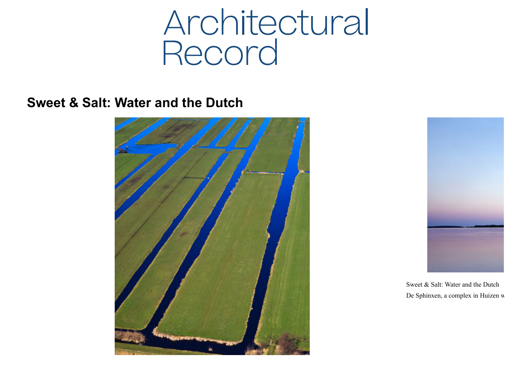## **Architectural**<br>Record

**Sweet & Salt: Water and the Dutch**





Sweet & Salt: Water and the Dutch De Sphinxen, a complex in Huizen w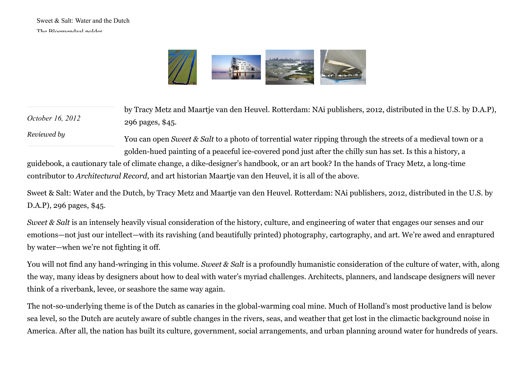*[Reviewed by](https://www.architecturalrecord.com/authors/1125-reviewed-by)*



*October 16, 2012* by Tracy Metz and Maartje van den Heuvel. Rotterdam: NAi publishers, 2012, distributed in the U.S. by D.A.P), 296 pages, \$45.

> You can open *Sweet & Salt* to a photo of torrential water ripping through the streets of a medieval town or a golden-hued painting of a peaceful ice-covered pond just after the chilly sun has set. Is this a history, a

guidebook, a cautionary tale of climate change, a dike-designer's handbook, or an art book? In the hands of Tracy Metz, a long-time contributor to *Architectural Record,* and art historian Maartje van den Heuvel, it is all of the above*.*

Sweet & Salt: Water and the Dutch, by Tracy Metz and Maartje van den Heuvel. Rotterdam: NAi publishers, 2012, distributed in the U.S. by D.A.P), 296 pages, \$45.

*Sweet & Salt* is an intensely heavily visual consideration of the history, culture, and engineering of water that engages our senses and our emotions—not just our intellect—with its ravishing (and beautifully printed) photography, cartography, and art. We're awed and enraptured by water—when we're not fighting it off.

You will not find any hand-wringing in this volume. *Sweet & Salt* is a profoundly humanistic consideration of the culture of water, with, along the way, many ideas by designers about how to deal with water's myriad challenges. Architects, planners, and landscape designers will never think of a riverbank, levee, or seashore the same way again.

The not-so-underlying theme is of the Dutch as canaries in the global-warming coal mine. Much of Holland's most productive land is below sea level, so the Dutch are acutely aware of subtle changes in the rivers, seas, and weather that get lost in the climactic background noise in America. After all, the nation has built its culture, government, social arrangements, and urban planning around water for hundreds of years.